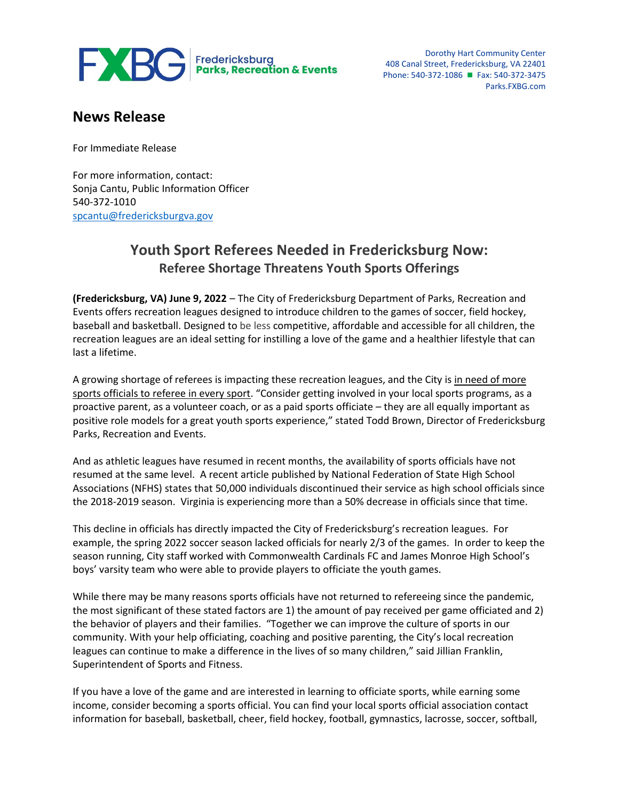

Dorothy Hart Community Center 408 Canal Street, Fredericksburg, VA 22401 Phone: 540-372-1086 **■** Fax: 540-372-3475 Parks.FXBG.com

## **News Release**

For Immediate Release

For more information, contact: Sonja Cantu, Public Information Officer 540-372-1010 [spcantu@fredericksburgva.gov](mailto:spcantu@fredericksburgva.gov)

## **Youth Sport Referees Needed in Fredericksburg Now: Referee Shortage Threatens Youth Sports Offerings**

**(Fredericksburg, VA) June 9, 2022** – The City of Fredericksburg Department of Parks, Recreation and Events offers recreation leagues designed to introduce children to the games of soccer, field hockey, baseball and basketball. Designed to be less competitive, affordable and accessible for all children, the recreation leagues are an ideal setting for instilling a love of the game and a healthier lifestyle that can last a lifetime.

A growing shortage of referees is impacting these recreation leagues, and the City is in need of more sports officials to referee in every sport. "Consider getting involved in your local sports programs, as a proactive parent, as a volunteer coach, or as a paid sports officiate – they are all equally important as positive role models for a great youth sports experience," stated Todd Brown, Director of Fredericksburg Parks, Recreation and Events.

And as athletic leagues have resumed in recent months, the availability of sports officials have not resumed at the same level. A recent article published by National Federation of State High School Associations (NFHS) states that 50,000 individuals discontinued their service as high school officials since the 2018-2019 season. Virginia is experiencing more than a 50% decrease in officials since that time.

This decline in officials has directly impacted the City of Fredericksburg's recreation leagues. For example, the spring 2022 soccer season lacked officials for nearly 2/3 of the games. In order to keep the season running, City staff worked with Commonwealth Cardinals FC and James Monroe High School's boys' varsity team who were able to provide players to officiate the youth games.

While there may be many reasons sports officials have not returned to refereeing since the pandemic, the most significant of these stated factors are 1) the amount of pay received per game officiated and 2) the behavior of players and their families. "Together we can improve the culture of sports in our community. With your help officiating, coaching and positive parenting, the City's local recreation leagues can continue to make a difference in the lives of so many children," said Jillian Franklin, Superintendent of Sports and Fitness.

If you have a love of the game and are interested in learning to officiate sports, while earning some income, consider becoming a sports official. You can find your local sports official association contact information for baseball, basketball, cheer, field hockey, football, gymnastics, lacrosse, soccer, softball,